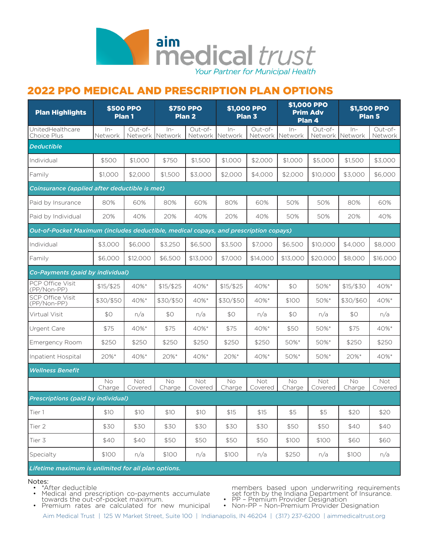

# 2022 PPO MEDICAL AND PRESCRIPTION PLAN OPTIONS

| <b>Plan Highlights</b>                                                               | <b>\$500 PPO</b> | Plan <sub>1</sub>          |              | <b>\$750 PPO</b><br>Plan <sub>2</sub> | \$1,000 PPO  | Plan 3             | \$1,000 PPO<br>Plan 4 | <b>Prim Adv</b>    | <b>\$1,500 PPO</b><br>Plan 5 |                      |
|--------------------------------------------------------------------------------------|------------------|----------------------------|--------------|---------------------------------------|--------------|--------------------|-----------------------|--------------------|------------------------------|----------------------|
| UnitedHealthcare<br>Choice Plus                                                      | $ln-$<br>Network | Out-of-<br>Network Network | $ln-$        | Out-of-<br>Network Network            | $ln-$        | Out-of-<br>Network | $ln-$<br>Network      | Out-of-<br>Network | $ln-$<br>Network             | $Out-of-$<br>Network |
| <b>Deductible</b>                                                                    |                  |                            |              |                                       |              |                    |                       |                    |                              |                      |
| Individual                                                                           | \$500            | \$1,000                    | \$750        | \$1,500                               | \$1,000      | \$2,000            | \$1,000               | \$5,000            | \$1,500                      | \$3,000              |
| Family                                                                               | \$1,000          | \$2,000                    | \$1,500      | \$3,000                               | \$2,000      | \$4,000            | \$2,000               | \$10,000           | \$3,000                      | \$6,000              |
| Coinsurance (applied after deductible is met)                                        |                  |                            |              |                                       |              |                    |                       |                    |                              |                      |
| Paid by Insurance                                                                    | 80%              | 60%                        | 80%          | 60%                                   | 80%          | 60%                | 50%                   | 50%                | 80%                          | 60%                  |
| Paid by Individual                                                                   | 20%              | 40%                        | 20%          | 40%                                   | 20%          | 40%                | 50%                   | 50%                | 20%                          | 40%                  |
| Out-of-Pocket Maximum (includes deductible, medical copays, and prescription copays) |                  |                            |              |                                       |              |                    |                       |                    |                              |                      |
| Individual                                                                           | \$3,000          | \$6,000                    | \$3,250      | \$6,500                               | \$3,500      | \$7,000            | \$6,500               | \$10,000           | \$4,000                      | \$8,000              |
| Family                                                                               | \$6,000          | \$12,000                   | \$6,500      | \$13,000                              | \$7,000      | \$14,000           | \$13,000              | \$20,000           | \$8,000                      | \$16,000             |
| Co-Payments (paid by individual)                                                     |                  |                            |              |                                       |              |                    |                       |                    |                              |                      |
| PCP Office Visit<br>(PP/Non-PP)                                                      | $$15/$ \$25      | 40%*                       | $$15/$ \$25  | 40%*                                  | $$15/$ \$25  | 40%*               | \$0                   | 50%*               | $$15/$ \$30                  | 40%*                 |
| <b>SCP Office Visit</b><br>(PP/Non-PP)                                               | \$30/\$50        | 40%*                       | \$30/\$50    | 40%*                                  | \$30/\$50    | 40%*               | \$100                 | 50%*               | \$30/\$60                    | 40%*                 |
| Virtual Visit                                                                        | \$0              | n/a                        | \$0          | n/a                                   | \$0          | n/a                | \$0                   | n/a                | \$0                          | n/a                  |
| Urgent Care                                                                          | \$75             | 40%*                       | \$75         | 40%*                                  | \$75         | 40%*               | \$50                  | 50%*               | \$75                         | 40%*                 |
| <b>Emergency Room</b>                                                                | \$250            | \$250                      | \$250        | \$250                                 | \$250        | \$250              | 50%*                  | 50%*               | \$250                        | \$250                |
| Inpatient Hospital                                                                   | 20%*             | 40%*                       | 20%*         | 40%*                                  | 20%*         | 40%*               | 50%*                  | 50%*               | 20%*                         | 40%*                 |
| <b>Wellness Benefit</b>                                                              |                  |                            |              |                                       |              |                    |                       |                    |                              |                      |
|                                                                                      | No<br>Charge     | Not<br>Covered             | Νo<br>Charge | Not<br>Covered                        | No<br>Charge | Not<br>Covered     | No<br>Charge          | Not<br>Covered     | No<br>Charge                 | Not<br>Covered       |
| Prescriptions (paid by individual)                                                   |                  |                            |              |                                       |              |                    |                       |                    |                              |                      |
| Tier 1                                                                               | \$10             | \$10                       | \$10         | \$10                                  | \$15         | \$15               | \$5                   | \$5                | \$20                         | \$20                 |
| Tier 2                                                                               | \$30             | \$30                       | \$30         | \$30                                  | \$30         | \$30               | \$50                  | \$50               | \$40                         | \$40                 |
| Tier 3                                                                               | \$40             | \$40                       | \$50         | \$50                                  | \$50         | \$50               | \$100                 | \$100              | \$60                         | \$60                 |
| Specialty                                                                            | \$100            | n/a                        | \$100        | n/a                                   | \$100        | n/a                | \$250                 | n/a                | \$100                        | n/a                  |
| Lifetime maximum is unlimited for all plan options.                                  |                  |                            |              |                                       |              |                    |                       |                    |                              |                      |

- Notes:<br>• \*After deductible
	- Medical and prescription co-payments accumulate<br>towards the out-of-pocket maximum.
	- Premium rates are calculated for new municipal

members based upon underwriting requirements set forth by the Indiana Department of Insurance.<br>• PP – Premium Provider Designation<br>• Non-PP – Non-Premium Provider Designation

Aim Medical Trust | 125 W Market Street, Suite 100 | Indianapolis, IN 46204 | (317) 237-6200 | aimmedicaltrust.org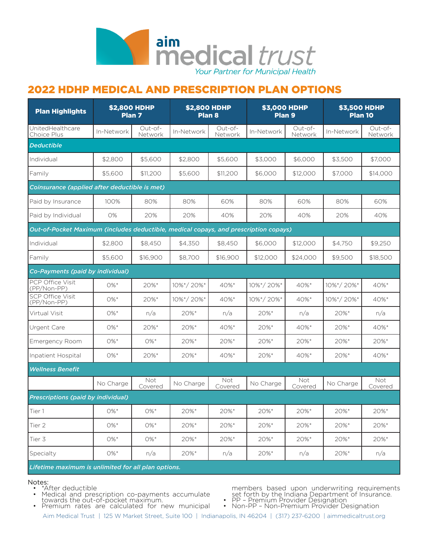

## 2022 HDHP MEDICAL AND PRESCRIPTION PLAN OPTIONS

| <b>Plan Highlights</b>                                                               | <b>\$2,800 HDHP</b><br>Plan <sub>7</sub> |                    | <b>\$2,800 HDHP</b><br>Plan <sub>8</sub> |                     | <b>\$3,000 HDHP</b><br>Plan 9 |                     | <b>\$3,500 HDHP</b><br>Plan 10 |                    |
|--------------------------------------------------------------------------------------|------------------------------------------|--------------------|------------------------------------------|---------------------|-------------------------------|---------------------|--------------------------------|--------------------|
| UnitedHealthcare<br>Choice Plus                                                      | In-Network                               | Out-of-<br>Network | In-Network                               | Out-of-<br>Network  | In-Network                    | Out-of-<br>Network  | In-Network                     | Out-of-<br>Network |
| <b>Deductible</b>                                                                    |                                          |                    |                                          |                     |                               |                     |                                |                    |
| Individual                                                                           | \$2,800                                  | \$5,600            | \$2,800                                  | \$5,600             | \$3,000                       | \$6,000             | \$3,500                        | \$7,000            |
| Family                                                                               | \$5,600                                  | \$11,200           | \$5,600                                  | \$11,200            | \$6,000                       | \$12,000            | \$7,000                        | \$14,000           |
| Coinsurance (applied after deductible is met)                                        |                                          |                    |                                          |                     |                               |                     |                                |                    |
| Paid by Insurance                                                                    | 100%                                     | 80%                | 80%                                      | 60%                 | 80%                           | 60%                 | 80%                            | 60%                |
| Paid by Individual                                                                   | 0%                                       | 20%                | 20%                                      | 40%                 | 20%                           | 40%                 | 20%                            | 40%                |
| Out-of-Pocket Maximum (includes deductible, medical copays, and prescription copays) |                                          |                    |                                          |                     |                               |                     |                                |                    |
| Individual                                                                           | \$2,800                                  | \$8,450            | \$4,350                                  | \$8,450             | \$6,000                       | \$12,000            | \$4,750                        | \$9,250            |
| Family                                                                               | \$5,600                                  | \$16,900           | \$8,700                                  | \$16,900            | \$12,000                      | \$24,000            | \$9,500                        | \$18,500           |
| Co-Payments (paid by individual)                                                     |                                          |                    |                                          |                     |                               |                     |                                |                    |
| PCP Office Visit<br>(PP/Non-PP)                                                      | $0\%$ *                                  | 20%*               | 10%*/20%*                                | 40%*                | 10%*/20%*                     | 40%*                | 10%*/20%*                      | 40%*               |
| <b>SCP Office Visit</b><br>(PP/Non-PP)                                               | $0\%$ *                                  | 20%*               | 10%*/20%*                                | 40%*                | 10%*/20%*                     | 40%*                | 10%*/20%*                      | 40%*               |
| Virtual Visit                                                                        | $0\%$ *                                  | n/a                | $20\%$ *                                 | n/a                 | 20%*                          | n/a                 | 20%*                           | n/a                |
| Urgent Care                                                                          | $0\%$ *                                  | $20\%$ *           | 20%*                                     | 40%*                | 20%*                          | 40%*                | 20%*                           | 40%*               |
| Emergency Room                                                                       | $0\%$ *                                  | $0\%$ *            | $20\%$ *                                 | $20\%$ <sup>*</sup> | 20%*                          | $20\%$ <sup>*</sup> | $20\%$ <sup>*</sup>            | 20%*               |
| Inpatient Hospital                                                                   | $0\%$ *                                  | 20%*               | 20%*                                     | 40%*                | 20%*                          | 40%*                | 20%*                           | 40%*               |
| <b>Wellness Benefit</b>                                                              |                                          |                    |                                          |                     |                               |                     |                                |                    |
|                                                                                      | No Charge                                | Not<br>Covered     | No Charge                                | Not<br>Covered      | No Charge                     | Not<br>Covered      | No Charge                      | Not<br>Covered     |
| Prescriptions (paid by individual)                                                   |                                          |                    |                                          |                     |                               |                     |                                |                    |
| Tier 1                                                                               | $0\%$ *                                  | 0%*                | 20%*                                     | 20%*                | 20%*                          | 20%*                | 20%*                           | 20%*               |
| Tier 2                                                                               | $O\%$ *                                  | 0%*                | 20%*                                     | 20%*                | 20%*                          | 20%*                | 20%*                           | 20%*               |
| Tier 3                                                                               | $0\%$ *                                  | $0\%$ *            | 20%*                                     | 20%*                | 20%*                          | 20%*                | 20%*                           | 20%*               |
| Specialty                                                                            | $0\%$ *                                  | n/a                | 20%*                                     | n/a                 | 20%*                          | n/a                 | 20%*                           | n/a                |
|                                                                                      |                                          |                    |                                          |                     |                               |                     |                                |                    |

*Lifetime maximum is unlimited for all plan options.*

### Notes:

- 
- \*After deductible<br>• \*After deductible<br>• Medical and prescription co-payments accumulate towards the out-of-pocket maximum. • Premium rates are calculated for new municipal
	-

members based upon underwriting requirements set forth by the Indiana Department of Insurance.<br>• PP – Premium Provider Designation<br>• Non-PP – Non-Premium Provider Designation

Aim Medical Trust | 125 W Market Street, Suite 100 | Indianapolis, IN 46204 | (317) 237-6200 | aimmedicaltrust.org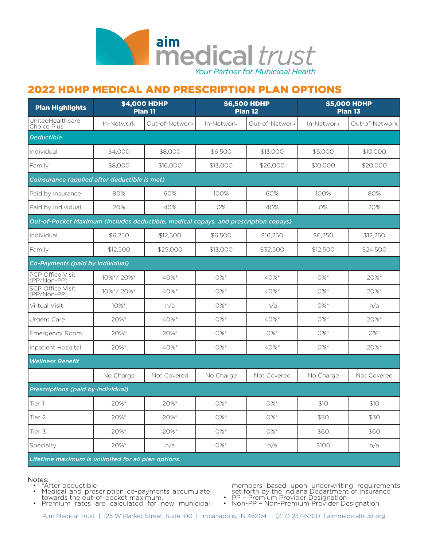

## 2022 HDHP MEDICAL AND PRESCRIPTION PLAN OPTIONS

| <b>Plan Highlights</b>                                                               |            | <b>\$4,000 HDHP</b><br><b>Plan 11</b> | <b>\$6,500 HDHP</b><br><b>Plan 12</b> |                | <b>\$5,000 HDHP</b><br><b>Plan 13</b> |                |  |  |  |
|--------------------------------------------------------------------------------------|------------|---------------------------------------|---------------------------------------|----------------|---------------------------------------|----------------|--|--|--|
| UnitedHealthcare<br>Choice Plus                                                      | In-Network | Out-of-Network                        | In-Network                            | Out-of-Network | In-Network                            | Out-of-Network |  |  |  |
| <b>Deductible</b>                                                                    |            |                                       |                                       |                |                                       |                |  |  |  |
| Individual                                                                           | \$4,000    | \$8,000                               | \$6,500                               | \$13,000       | \$5,000                               | \$10,000       |  |  |  |
| Family                                                                               | \$8,000    | \$16,000                              | \$13,000                              | \$26,000       | \$10,000                              | \$20,000       |  |  |  |
| Coinsurance (applied after deductible is met)                                        |            |                                       |                                       |                |                                       |                |  |  |  |
| Paid by Insurance                                                                    | 80%        | 60%                                   | 100%                                  | 60%            | 100%                                  | 80%            |  |  |  |
| Paid by Individual                                                                   | 20%        | 40%                                   | 0%                                    | 40%            | 0%                                    | 20%            |  |  |  |
| Out-of-Pocket Maximum (includes deductible, medical copays, and prescription copays) |            |                                       |                                       |                |                                       |                |  |  |  |
| Individual                                                                           | \$6,250    | \$12,500                              | \$6,500                               | \$16,250       | \$6,250                               | \$12,250       |  |  |  |
| Family                                                                               | \$12,500   | \$25,000                              | \$13,000                              | \$32,500       | \$12,500                              | \$24,500       |  |  |  |
| Co-Payments (paid by individual)                                                     |            |                                       |                                       |                |                                       |                |  |  |  |
| PCP Office Visit<br>(PP/Non-PP)                                                      | 10%*/20%*  | 40%*                                  | $0\%$ *                               | 40%*           | $0\%$ *                               | 20%*           |  |  |  |
| <b>SCP Office Visit</b><br>(PP/Non-PP)                                               | 10%*/20%*  | 40%*                                  | $0\%$ *                               | 40%*           | $0\%$ *                               | 20%*           |  |  |  |
| Virtual Visit                                                                        | $10\%$ *   | n/a                                   | $0\%$ *                               | n/a            | $0\%$ *                               | n/a            |  |  |  |
| Urgent Care                                                                          | 20%*       | 40%*                                  | $0\%$ *                               | 40%*           | $0\%$ *                               | 20%*           |  |  |  |
| <b>Emergency Room</b>                                                                | 20%*       | 20%*                                  | $0\%$ *                               | 0%*            | $0\%$ *                               | $0\% *$        |  |  |  |
| Inpatient Hospital                                                                   | 20%*       | 40%*                                  | $0\%$ *                               | 40%*           | $0\%$ *                               | 20%*           |  |  |  |
| <b>Wellness Benefit</b>                                                              |            |                                       |                                       |                |                                       |                |  |  |  |
|                                                                                      | No Charge  | Not Covered                           | No Charge                             | Not Covered    | No Charge                             | Not Covered    |  |  |  |
| <b>Prescriptions (paid by individual)</b>                                            |            |                                       |                                       |                |                                       |                |  |  |  |
| Tier 1                                                                               | 20%*       | 20%*                                  | $0\%$ *                               | $0\%$ *        | \$10                                  | \$10           |  |  |  |
| Tier 2                                                                               | 20%*       | 20%*                                  | $0\% *$                               | $0\% *$        | \$30                                  | \$30           |  |  |  |
| Tier 3                                                                               | 20%*       | 20%*                                  | $0\%$ *                               | $0\% *$        | \$60                                  | \$60           |  |  |  |
| Specialty                                                                            | 20%*       | n/a                                   | $0\%^*$                               | n/a            | \$100                                 | n/a            |  |  |  |
| Lifetime maximum is unlimited for all plan options.                                  |            |                                       |                                       |                |                                       |                |  |  |  |

- Notes:<br>• \*After deductible
	- \*After deductible<br>• Medical and prescription co-payments accumulate towards the out-of-pocket maximum.<br>• Premium rates are calculated for new municipal
	-

members based upon underwriting requirements set forth by the Indiana Department of Insurance.<br>• PP – Premium Provider Designation<br>• Non-PP – Non-Premium Provider Designation

Aim Medical Trust | 125 W Market Street, Suite 100 | Indianapolis, IN 46204 | (317) 237-6200 | aimmedicaltrust.org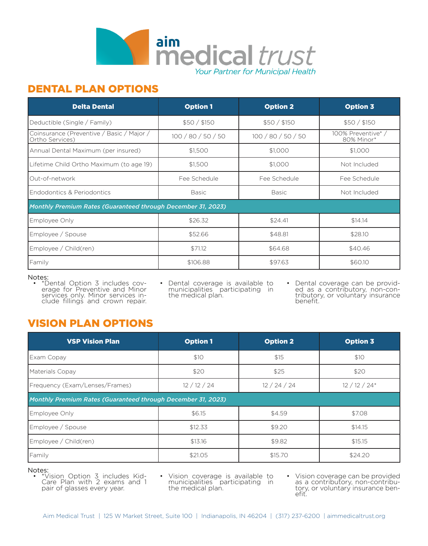

### DENTAL PLAN OPTIONS

| <b>Delta Dental</b>                                          | <b>Option 1</b>    | <b>Option 2</b>    | <b>Option 3</b>                  |  |  |  |  |
|--------------------------------------------------------------|--------------------|--------------------|----------------------------------|--|--|--|--|
| Deductible (Single / Family)                                 | \$50/\$150         | \$50/\$150         | \$50/\$150                       |  |  |  |  |
| Coinsurance (Preventive / Basic / Major /<br>Ortho Services) | 100 / 80 / 50 / 50 | 100 / 80 / 50 / 50 | 100% Preventive* /<br>80% Minor* |  |  |  |  |
| Annual Dental Maximum (per insured)                          | \$1,500            | \$1,000            | \$1,000                          |  |  |  |  |
| Lifetime Child Ortho Maximum (to age 19)                     | \$1,500            | \$1,000            | Not Included                     |  |  |  |  |
| Out-of-network                                               | Fee Schedule       | Fee Schedule       | Fee Schedule                     |  |  |  |  |
| Endodontics & Periodontics                                   | Basic              | <b>Basic</b>       | Not Included                     |  |  |  |  |
| Monthly Premium Rates (Guaranteed through December 31, 2023) |                    |                    |                                  |  |  |  |  |
| Employee Only                                                | \$26.32            | \$24.41            | \$14.14                          |  |  |  |  |
| Employee / Spouse                                            | \$52.66            | \$48.81            | \$28.10                          |  |  |  |  |
| Employee / Child(ren)                                        | \$71.12            | \$64.68            | \$40.46                          |  |  |  |  |
| Family                                                       | \$106.88           | \$97.63            | \$60.10                          |  |  |  |  |

### Notes:

• \*Dental Option 3 includes cov- erage for Preventive and Minor services only. Minor services in- clude fillings and crown repair.

Dental coverage is available to municipalities participating in the medical plan.

• Dental coverage can be provid- ed as a contributory, non-con- tributory, or voluntary insurance benefit.

# VISION PLAN OPTIONS

| <b>VSP Vision Plan</b>                                       | <b>Option 1</b> | <b>Option 2</b> | <b>Option 3</b> |  |  |  |  |
|--------------------------------------------------------------|-----------------|-----------------|-----------------|--|--|--|--|
| Exam Copay                                                   | \$10            | \$15            | \$10            |  |  |  |  |
| Materials Copay                                              | \$20            | \$25            | \$20            |  |  |  |  |
| Frequency (Exam/Lenses/Frames)                               | 12/12/24        | 12/24/24        | $12/12/24*$     |  |  |  |  |
| Monthly Premium Rates (Guaranteed through December 31, 2023) |                 |                 |                 |  |  |  |  |
| Employee Only                                                | \$6.15          | \$4.59          | \$7.08          |  |  |  |  |
| Employee / Spouse                                            | \$12.33         | \$9.20          | \$14.15         |  |  |  |  |
| Employee / Child(ren)                                        | \$13.16         | \$9.82          | \$15.15         |  |  |  |  |
| Family                                                       | \$21.05         | \$15.70         | \$24.20         |  |  |  |  |

### Notes:

• \*Vision Option 3 includes Kid- Care Plan with 2 exams and 1 pair of glasses every year.

• Vision coverage is available to municipalities participating in the medical plan.

• Vision coverage can be provided<br>as a contributory, non-contributory, or voluntary insurance ben-<br>efit